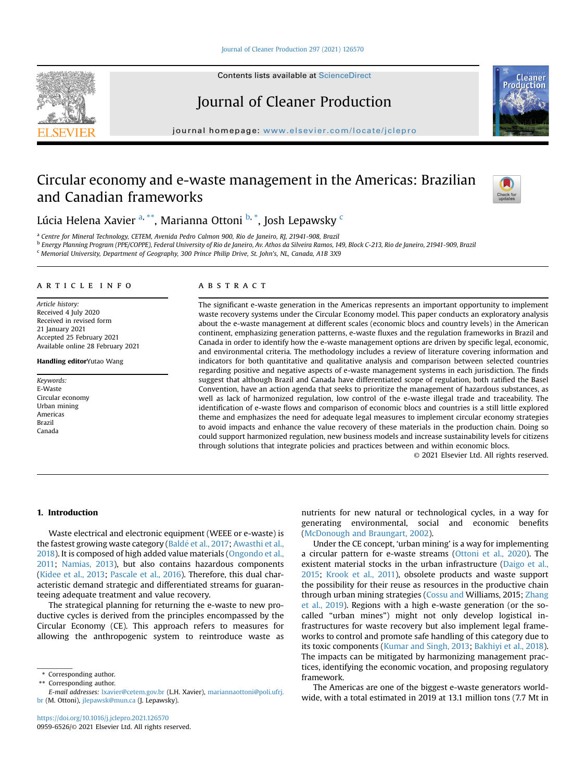### [Journal of Cleaner Production 297 \(2021\) 126570](https://doi.org/10.1016/j.jclepro.2021.126570)

Contents lists available at ScienceDirect

# Journal of Cleaner Production

journal homepage: [www.elsevier.com/locate/jclepro](http://www.elsevier.com/locate/jclepro)

# Circular economy and e-waste management in the Americas: Brazilian and Canadian frameworks



<span id="page-0-0"></span><sup>a</sup> Centre for Mineral Technology, CETEM, Avenida Pedro Calmon 900, Rio de Janeiro, RJ, 21941-908, Brazil

<span id="page-0-2"></span><sup>b</sup> Energy Planning Program (PPE/COPPE), Federal University of Rio de Janeiro, Av. Athos da Silveira Ramos, 149, Block C-213, Rio de Janeiro, 21941-909, Brazil

<span id="page-0-4"></span><sup>c</sup> Memorial University, Department of Geography, 300 Prince Philip Drive, St. John's, NL, Canada, A1B 3X9

### article info

Article history: Received 4 July 2020 Received in revised form 21 January 2021 Accepted 25 February 2021 Available online 28 February 2021

Handling editorYutao Wang

Keywords: E-Waste Circular economy Urban mining Americas Brazil Canada

### **ABSTRACT**

The significant e-waste generation in the Americas represents an important opportunity to implement waste recovery systems under the Circular Economy model. This paper conducts an exploratory analysis about the e-waste management at different scales (economic blocs and country levels) in the American continent, emphasizing generation patterns, e-waste fluxes and the regulation frameworks in Brazil and Canada in order to identify how the e-waste management options are driven by specific legal, economic, and environmental criteria. The methodology includes a review of literature covering information and indicators for both quantitative and qualitative analysis and comparison between selected countries regarding positive and negative aspects of e-waste management systems in each jurisdiction. The finds suggest that although Brazil and Canada have differentiated scope of regulation, both ratified the Basel Convention, have an action agenda that seeks to prioritize the management of hazardous substances, as well as lack of harmonized regulation, low control of the e-waste illegal trade and traceability. The identification of e-waste flows and comparison of economic blocs and countries is a still little explored theme and emphasizes the need for adequate legal measures to implement circular economy strategies to avoid impacts and enhance the value recovery of these materials in the production chain. Doing so could support harmonized regulation, new business models and increase sustainability levels for citizens through solutions that integrate policies and practices between and within economic blocs.

© 2021 Elsevier Ltd. All rights reserved.

### 1. Introduction

Waste electrical and electronic equipment (WEEE or e-waste) is the fastest growing waste category (Baldé et al., 2017; [Awasthi et al.,](#page-11-1) [2018\)](#page-11-1). It is composed of high added value materials ([Ongondo et al.,](#page-11-2) [2011](#page-11-2); [Namias, 2013\)](#page-11-3), but also contains hazardous components ([Kidee et al., 2013;](#page-11-4) [Pascale et al., 2016](#page-12-0)). Therefore, this dual characteristic demand strategic and differentiated streams for guaranteeing adequate treatment and value recovery.

The strategical planning for returning the e-waste to new productive cycles is derived from the principles encompassed by the Circular Economy (CE). This approach refers to measures for allowing the anthropogenic system to reintroduce waste as

<span id="page-0-1"></span>\*\* Corresponding author.

nutrients for new natural or technological cycles, in a way for generating environmental, social and economic benefits ([McDonough and Braungart, 2002\)](#page-11-5).

Under the CE concept, 'urban mining' is a way for implementing a circular pattern for e-waste streams ([Ottoni et al., 2020](#page-11-6)). The existent material stocks in the urban infrastructure ([Daigo et al.,](#page-11-7) [2015;](#page-11-7) [Krook et al., 2011](#page-11-8)), obsolete products and waste support the possibility for their reuse as resources in the productive chain through urban mining strategies ([Cossu and](#page-11-9) Williams, 2015; [Zhang](#page-12-1) [et al., 2019](#page-12-1)). Regions with a high e-waste generation (or the socalled "urban mines") might not only develop logistical infrastructures for waste recovery but also implement legal frameworks to control and promote safe handling of this category due to its toxic components [\(Kumar and Singh, 2013](#page-11-10); [Bakhiyi et al., 2018\)](#page-11-11). The impacts can be mitigated by harmonizing management practices, identifying the economic vocation, and proposing regulatory framework.

The Americas are one of the biggest e-waste generators worldwide, with a total estimated in 2019 at 13.1 million tons (7.7 Mt in





<span id="page-0-3"></span><sup>\*</sup> Corresponding author.

E-mail addresses: [lxavier@cetem.gov.br](mailto:lxavier@cetem.gov.br) (L.H. Xavier), [mariannaottoni@poli.ufrj.](mailto:mariannaottoni@poli.ufrj.br) [br](mailto:mariannaottoni@poli.ufrj.br) (M. Ottoni), [jlepawsk@mun.ca](mailto:jlepawsk@mun.ca) (J. Lepawsky).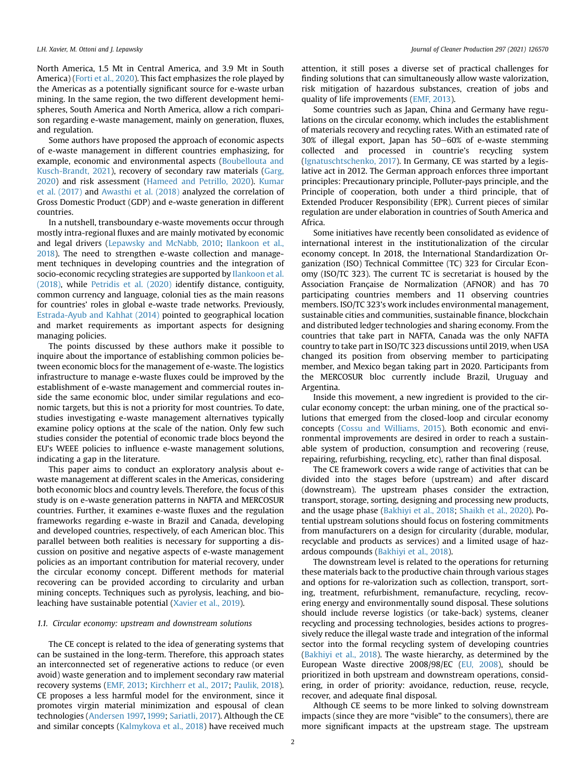North America, 1.5 Mt in Central America, and 3.9 Mt in South America) ([Forti et al., 2020](#page-11-12)). This fact emphasizes the role played by the Americas as a potentially significant source for e-waste urban mining. In the same region, the two different development hemispheres, South America and North America, allow a rich comparison regarding e-waste management, mainly on generation, fluxes, and regulation.

Some authors have proposed the approach of economic aspects of e-waste management in different countries emphasizing, for example, economic and environmental aspects ([Boubellouta and](#page-11-13) [Kusch-Brandt, 2021\)](#page-11-13), recovery of secondary raw materials ([Garg,](#page-11-14) [2020\)](#page-11-14) and risk assessment [\(Hameed and Petrillo, 2020\)](#page-11-15). [Kumar](#page-11-16) [et al. \(2017\)](#page-11-16) and [Awasthi et al. \(2018\)](#page-11-1) analyzed the correlation of Gross Domestic Product (GDP) and e-waste generation in different countries.

In a nutshell, transboundary e-waste movements occur through mostly intra-regional fluxes and are mainly motivated by economic and legal drivers [\(Lepawsky and McNabb, 2010;](#page-11-17) [Ilankoon et al.,](#page-11-18) [2018\)](#page-11-18). The need to strengthen e-waste collection and management techniques in developing countries and the integration of socio-economic recycling strategies are supported by [Ilankoon et al.](#page-11-18) [\(2018\),](#page-11-18) while [Petridis et al. \(2020\)](#page-12-2) identify distance, contiguity, common currency and language, colonial ties as the main reasons for countries' roles in global e-waste trade networks. Previously, [Estrada-Ayub and Kahhat \(2014\)](#page-11-19) pointed to geographical location and market requirements as important aspects for designing managing policies.

The points discussed by these authors make it possible to inquire about the importance of establishing common policies between economic blocs for the management of e-waste. The logistics infrastructure to manage e-waste fluxes could be improved by the establishment of e-waste management and commercial routes inside the same economic bloc, under similar regulations and economic targets, but this is not a priority for most countries. To date, studies investigating e-waste management alternatives typically examine policy options at the scale of the nation. Only few such studies consider the potential of economic trade blocs beyond the EU's WEEE policies to influence e-waste management solutions, indicating a gap in the literature.

This paper aims to conduct an exploratory analysis about ewaste management at different scales in the Americas, considering both economic blocs and country levels. Therefore, the focus of this study is on e-waste generation patterns in NAFTA and MERCOSUR countries. Further, it examines e-waste fluxes and the regulation frameworks regarding e-waste in Brazil and Canada, developing and developed countries, respectively, of each American bloc. This parallel between both realities is necessary for supporting a discussion on positive and negative aspects of e-waste management policies as an important contribution for material recovery, under the circular economy concept. Different methods for material recovering can be provided according to circularity and urban mining concepts. Techniques such as pyrolysis, leaching, and bioleaching have sustainable potential [\(Xavier et al., 2019\)](#page-12-3).

### 1.1. Circular economy: upstream and downstream solutions

The CE concept is related to the idea of generating systems that can be sustained in the long-term. Therefore, this approach states an interconnected set of regenerative actions to reduce (or even avoid) waste generation and to implement secondary raw material recovery systems ([EMF, 2013](#page-11-20); [Kirchherr et al., 2017](#page-11-21); [Paulik, 2018\)](#page-12-4). CE proposes a less harmful model for the environment, since it promotes virgin material minimization and espousal of clean technologies [\(Andersen 1997,](#page-11-22) [1999;](#page-11-23) [Sariatli, 2017\)](#page-12-5). Although the CE and similar concepts ([Kalmykova et al., 2018\)](#page-11-24) have received much attention, it still poses a diverse set of practical challenges for finding solutions that can simultaneously allow waste valorization, risk mitigation of hazardous substances, creation of jobs and quality of life improvements ([EMF, 2013](#page-11-20)).

Some countries such as Japan, China and Germany have regulations on the circular economy, which includes the establishment of materials recovery and recycling rates. With an estimated rate of  $30\%$  of illegal export, Japan has  $50-60\%$  of e-waste stemming collected and processed in countrie's recycling system ([Ignatuschtschenko, 2017\)](#page-11-25). In Germany, CE was started by a legislative act in 2012. The German approach enforces three important principles: Precautionary principle, Polluter-pays principle, and the Principle of cooperation, both under a third principle, that of Extended Producer Responsibility (EPR). Current pieces of similar regulation are under elaboration in countries of South America and Africa.

Some initiatives have recently been consolidated as evidence of international interest in the institutionalization of the circular economy concept. In 2018, the International Standardization Organization (ISO) Technical Committee (TC) 323 for Circular Economy (ISO/TC 323). The current TC is secretariat is housed by the Association Française de Normalization (AFNOR) and has 70 participating countries members and 11 observing countries members. ISO/TC 323's work includes environmental management, sustainable cities and communities, sustainable finance, blockchain and distributed ledger technologies and sharing economy. From the countries that take part in NAFTA, Canada was the only NAFTA country to take part in ISO/TC 323 discussions until 2019, when USA changed its position from observing member to participating member, and Mexico began taking part in 2020. Participants from the MERCOSUR bloc currently include Brazil, Uruguay and Argentina.

Inside this movement, a new ingredient is provided to the circular economy concept: the urban mining, one of the practical solutions that emerged from the closed-loop and circular economy concepts ([Cossu and Williams, 2015\)](#page-11-9). Both economic and environmental improvements are desired in order to reach a sustainable system of production, consumption and recovering (reuse, repairing, refurbishing, recycling, etc), rather than final disposal.

The CE framework covers a wide range of activities that can be divided into the stages before (upstream) and after discard (downstream). The upstream phases consider the extraction, transport, storage, sorting, designing and processing new products, and the usage phase [\(Bakhiyi et al., 2018;](#page-11-11) [Shaikh et al., 2020](#page-12-6)). Potential upstream solutions should focus on fostering commitments from manufacturers on a design for circularity (durable, modular, recyclable and products as services) and a limited usage of hazardous compounds [\(Bakhiyi et al., 2018\)](#page-11-11).

The downstream level is related to the operations for returning these materials back to the productive chain through various stages and options for re-valorization such as collection, transport, sorting, treatment, refurbishment, remanufacture, recycling, recovering energy and environmentally sound disposal. These solutions should include reverse logistics (or take-back) systems, cleaner recycling and processing technologies, besides actions to progressively reduce the illegal waste trade and integration of the informal sector into the formal recycling system of developing countries ([Bakhiyi et al., 2018](#page-11-11)). The waste hierarchy, as determined by the European Waste directive 2008/98/EC [\(EU, 2008](#page-11-26)), should be prioritized in both upstream and downstream operations, considering, in order of priority: avoidance, reduction, reuse, recycle, recover, and adequate final disposal.

Although CE seems to be more linked to solving downstream impacts (since they are more "visible" to the consumers), there are more significant impacts at the upstream stage. The upstream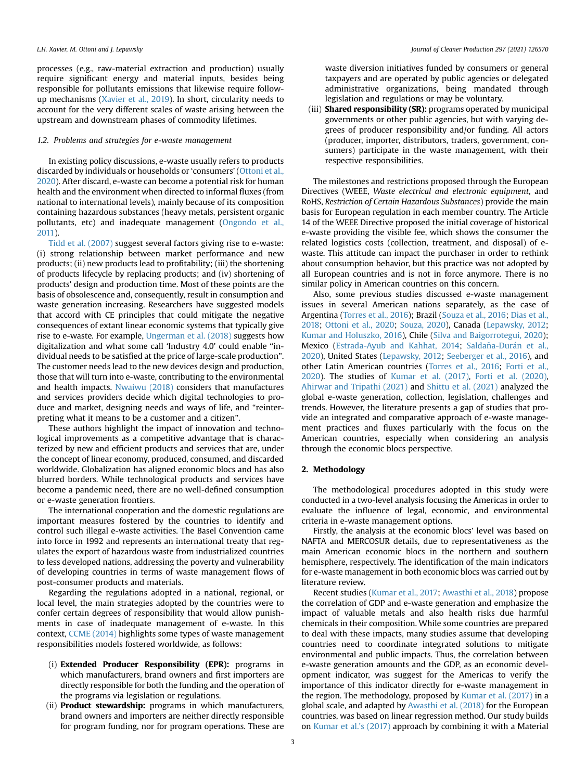processes (e.g., raw-material extraction and production) usually require significant energy and material inputs, besides being responsible for pollutants emissions that likewise require followup mechanisms ([Xavier et al., 2019](#page-12-3)). In short, circularity needs to account for the very different scales of waste arising between the upstream and downstream phases of commodity lifetimes.

### 1.2. Problems and strategies for e-waste management

In existing policy discussions, e-waste usually refers to products discarded by individuals or households or 'consumers' ([Ottoni et al.,](#page-11-6) [2020\)](#page-11-6). After discard, e-waste can become a potential risk for human health and the environment when directed to informal fluxes (from national to international levels), mainly because of its composition containing hazardous substances (heavy metals, persistent organic pollutants, etc) and inadequate management [\(Ongondo et al.,](#page-11-2) [2011](#page-11-2)).

[Tidd et al. \(2007\)](#page-12-7) suggest several factors giving rise to e-waste: (i) strong relationship between market performance and new products; (ii) new products lead to profitability; (iii) the shortening of products lifecycle by replacing products; and (iv) shortening of products' design and production time. Most of these points are the basis of obsolescence and, consequently, result in consumption and waste generation increasing. Researchers have suggested models that accord with CE principles that could mitigate the negative consequences of extant linear economic systems that typically give rise to e-waste. For example, [Ungerman et al. \(2018\)](#page-12-8) suggests how digitalization and what some call 'Industry 4.0' could enable "individual needs to be satisfied at the price of large-scale production". The customer needs lead to the new devices design and production, those that will turn into e-waste, contributing to the environmental and health impacts. [Nwaiwu \(2018\)](#page-11-27) considers that manufactures and services providers decide which digital technologies to produce and market, designing needs and ways of life, and "reinterpreting what it means to be a customer and a citizen".

These authors highlight the impact of innovation and technological improvements as a competitive advantage that is characterized by new and efficient products and services that are, under the concept of linear economy, produced, consumed, and discarded worldwide. Globalization has aligned economic blocs and has also blurred borders. While technological products and services have become a pandemic need, there are no well-defined consumption or e-waste generation frontiers.

The international cooperation and the domestic regulations are important measures fostered by the countries to identify and control such illegal e-waste activities. The Basel Convention came into force in 1992 and represents an international treaty that regulates the export of hazardous waste from industrialized countries to less developed nations, addressing the poverty and vulnerability of developing countries in terms of waste management flows of post-consumer products and materials.

Regarding the regulations adopted in a national, regional, or local level, the main strategies adopted by the countries were to confer certain degrees of responsibility that would allow punishments in case of inadequate management of e-waste. In this context, [CCME \(2014\)](#page-11-28) highlights some types of waste management responsibilities models fostered worldwide, as follows:

- (i) Extended Producer Responsibility (EPR): programs in which manufacturers, brand owners and first importers are directly responsible for both the funding and the operation of the programs via legislation or regulations.
- (ii) **Product stewardship:** programs in which manufacturers, brand owners and importers are neither directly responsible for program funding, nor for program operations. These are

waste diversion initiatives funded by consumers or general taxpayers and are operated by public agencies or delegated administrative organizations, being mandated through legislation and regulations or may be voluntary.

(iii) **Shared responsibility (SR):** programs operated by municipal governments or other public agencies, but with varying degrees of producer responsibility and/or funding. All actors (producer, importer, distributors, traders, government, consumers) participate in the waste management, with their respective responsibilities.

The milestones and restrictions proposed through the European Directives (WEEE, Waste electrical and electronic equipment, and RoHS, Restriction of Certain Hazardous Substances) provide the main basis for European regulation in each member country. The Article 14 of the WEEE Directive proposed the initial coverage of historical e-waste providing the visible fee, which shows the consumer the related logistics costs (collection, treatment, and disposal) of ewaste. This attitude can impact the purchaser in order to rethink about consumption behavior, but this practice was not adopted by all European countries and is not in force anymore. There is no similar policy in American countries on this concern.

Also, some previous studies discussed e-waste management issues in several American nations separately, as the case of Argentina [\(Torres et al., 2016\)](#page-12-9); Brazil ([Souza et al., 2016](#page-12-10); [Dias et al.,](#page-11-29) [2018;](#page-11-29) [Ottoni et al., 2020;](#page-11-6) [Souza, 2020\)](#page-12-11), Canada ([Lepawsky, 2012;](#page-11-30) [Kumar and Holuszko, 2016\)](#page-11-31), Chile ([Silva and Baigorrotegui, 2020\)](#page-12-12); Mexico ([Estrada-Ayub and Kahhat, 2014](#page-11-19); Saldaña-Durá[n et al.,](#page-12-13) [2020\)](#page-12-13), United States [\(Lepawsky, 2012;](#page-11-30) [Seeberger et al., 2016\)](#page-12-14), and other Latin American countries [\(Torres et al., 2016](#page-12-9); [Forti et al.,](#page-11-12) [2020\)](#page-11-12). The studies of [Kumar et al. \(2017\),](#page-11-16) [Forti et al. \(2020\),](#page-11-12) [Ahirwar and Tripathi \(2021\)](#page-10-0) and [Shittu et al. \(2021\)](#page-12-15) analyzed the global e-waste generation, collection, legislation, challenges and trends. However, the literature presents a gap of studies that provide an integrated and comparative approach of e-waste management practices and fluxes particularly with the focus on the American countries, especially when considering an analysis through the economic blocs perspective.

### 2. Methodology

The methodological procedures adopted in this study were conducted in a two-level analysis focusing the Americas in order to evaluate the influence of legal, economic, and environmental criteria in e-waste management options.

Firstly, the analysis at the economic blocs' level was based on NAFTA and MERCOSUR details, due to representativeness as the main American economic blocs in the northern and southern hemisphere, respectively. The identification of the main indicators for e-waste management in both economic blocs was carried out by literature review.

Recent studies ([Kumar et al., 2017;](#page-11-16) [Awasthi et al., 2018](#page-11-1)) propose the correlation of GDP and e-waste generation and emphasize the impact of valuable metals and also health risks due harmful chemicals in their composition. While some countries are prepared to deal with these impacts, many studies assume that developing countries need to coordinate integrated solutions to mitigate environmental and public impacts. Thus, the correlation between e-waste generation amounts and the GDP, as an economic development indicator, was suggest for the Americas to verify the importance of this indicator directly for e-waste management in the region. The methodology, proposed by [Kumar et al. \(2017\)](#page-11-16) in a global scale, and adapted by [Awasthi et al. \(2018\)](#page-11-1) for the European countries, was based on linear regression method. Our study builds on [Kumar et al.](#page-11-16)'s (2017) approach by combining it with a Material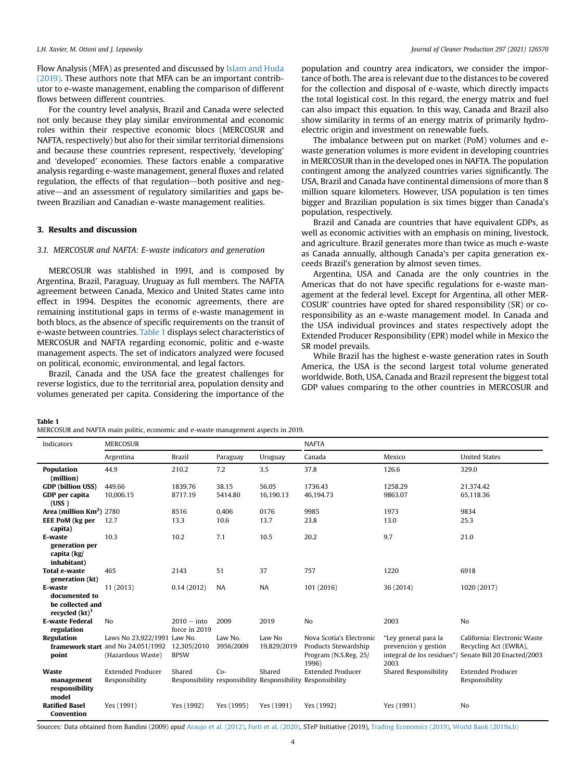Flow Analysis (MFA) as presented and discussed by [Islam and Huda](#page-11-32) [\(2019\).](#page-11-32) These authors note that MFA can be an important contributor to e-waste management, enabling the comparison of different flows between different countries.

For the country level analysis, Brazil and Canada were selected not only because they play similar environmental and economic roles within their respective economic blocs (MERCOSUR and NAFTA, respectively) but also for their similar territorial dimensions and because these countries represent, respectively, 'developing' and 'developed' economies. These factors enable a comparative analysis regarding e-waste management, general fluxes and related regulation, the effects of that regulation-both positive and negative—and an assessment of regulatory similarities and gaps between Brazilian and Canadian e-waste management realities.

### 3. Results and discussion

### 3.1. MERCOSUR and NAFTA: E-waste indicators and generation

MERCOSUR was stablished in 1991, and is composed by Argentina, Brazil, Paraguay, Uruguay as full members. The NAFTA agreement between Canada, Mexico and United States came into effect in 1994. Despites the economic agreements, there are remaining institutional gaps in terms of e-waste management in both blocs, as the absence of specific requirements on the transit of e-waste between countries. [Table 1](#page-3-0) displays select characteristics of MERCOSUR and NAFTA regarding economic, politic and e-waste management aspects. The set of indicators analyzed were focused on political, economic, environmental, and legal factors.

Brazil, Canada and the USA face the greatest challenges for reverse logistics, due to the territorial area, population density and volumes generated per capita. Considering the importance of the population and country area indicators, we consider the importance of both. The area is relevant due to the distances to be covered for the collection and disposal of e-waste, which directly impacts the total logistical cost. In this regard, the energy matrix and fuel can also impact this equation. In this way, Canada and Brazil also show similarity in terms of an energy matrix of primarily hydroelectric origin and investment on renewable fuels.

The imbalance between put on market (PoM) volumes and ewaste generation volumes is more evident in developing countries in MERCOSUR than in the developed ones in NAFTA. The population contingent among the analyzed countries varies significantly. The USA, Brazil and Canada have continental dimensions of more than 8 million square kilometers. However, USA population is ten times bigger and Brazilian population is six times bigger than Canada's population, respectively.

Brazil and Canada are countries that have equivalent GDPs, as well as economic activities with an emphasis on mining, livestock, and agriculture. Brazil generates more than twice as much e-waste as Canada annually, although Canada's per capita generation exceeds Brazil's generation by almost seven times.

Argentina, USA and Canada are the only countries in the Americas that do not have specific regulations for e-waste management at the federal level. Except for Argentina, all other MER-COSUR' countries have opted for shared responsibility (SR) or coresponsibility as an e-waste management model. In Canada and the USA individual provinces and states respectively adopt the Extended Producer Responsibility (EPR) model while in Mexico the SR model prevails.

While Brazil has the highest e-waste generation rates in South America, the USA is the second largest total volume generated worldwide. Both, USA, Canada and Brazil represent the biggest total GDP values comparing to the other countries in MERCOSUR and

### <span id="page-3-0"></span>Table 1

MERCOSUR and NAFTA main politic, economic and e-waste management aspects in 2019.

| Indicators                                                                 | <b>MERCOSUR</b>                                                                               |                                |                      | <b>NAFTA</b>          |                                                                                         |                                                                                   |                                                                                      |
|----------------------------------------------------------------------------|-----------------------------------------------------------------------------------------------|--------------------------------|----------------------|-----------------------|-----------------------------------------------------------------------------------------|-----------------------------------------------------------------------------------|--------------------------------------------------------------------------------------|
|                                                                            | Argentina                                                                                     | <b>Brazil</b>                  | Paraguay             | Uruguay               | Canada                                                                                  | Mexico                                                                            | <b>United States</b>                                                                 |
| <b>Population</b><br>(million)                                             | 44.9                                                                                          | 210.2                          | 7.2                  | 3.5                   | 37.8                                                                                    | 126.6                                                                             | 329.0                                                                                |
| <b>GDP</b> (billion USS)<br>GDP per capita                                 | 449.66<br>10,006.15                                                                           | 1839.76<br>8717.19             | 38.15<br>5414.80     | 56.05<br>16,190.13    | 1736.43<br>46,194.73                                                                    | 1258.29<br>9863.07                                                                | 21,374.42<br>65,118.36                                                               |
| (USS)<br>Area (million $Km2$ ) 2780                                        |                                                                                               | 8516                           |                      | 0176                  | 9985                                                                                    | 1973                                                                              | 9834                                                                                 |
| <b>EEE PoM</b> (kg per                                                     | 12.7                                                                                          | 13.3                           | 0,406<br>10.6        | 13.7                  | 23.8                                                                                    | 13.0                                                                              | 25.3                                                                                 |
| capita)<br>E-waste<br>generation per<br>capita (kg/<br>inhabitant)         | 10.3                                                                                          | 10.2                           | 7.1                  | 10.5                  | 20.2                                                                                    | 9.7                                                                               | 21.0                                                                                 |
| <b>Total e-waste</b><br>generation (kt)                                    | 465                                                                                           | 2143                           | 51                   | 37                    | 757                                                                                     | 1220                                                                              | 6918                                                                                 |
| E-waste<br>documented to<br>be collected and<br>recycled (kt) <sup>1</sup> | 11 (2013)                                                                                     | 0.14(2012)                     | NA                   | NA                    | 101 (2016)                                                                              | 36 (2014)                                                                         | 1020 (2017)                                                                          |
| <b>E-waste Federal</b><br>regulation                                       | No                                                                                            | $2010 -$ into<br>force in 2019 | 2009                 | 2019                  | N <sub>o</sub>                                                                          | 2003                                                                              | No                                                                                   |
| Regulation<br>point                                                        | Laws No 23,922/1991 Law No.<br><b>framework start</b> and No 24,051/1992<br>(Hazardous Waste) | 12,305/2010<br><b>BPSW</b>     | Law No.<br>3956/2009 | Law No<br>19,829/2019 | Nova Scotia's Electronic<br>Products Stewardship<br>Program (N.S.Reg. 25/<br>1996)      | "Ley general para la<br>prevención y gestión<br>integral de los residues"<br>2003 | California: Electronic Waste<br>Recycling Act (EWRA),<br>Senate Bill 20 Enacted/2003 |
| <b>Waste</b><br>management<br>responsibility<br>model                      | <b>Extended Producer</b><br>Responsibility                                                    | Shared                         | $Co-$                | Shared                | <b>Extended Producer</b><br>Responsibility responsibility Responsibility Responsibility | Shared Responsibility                                                             | <b>Extended Producer</b><br>Responsibility                                           |
| <b>Ratified Basel</b><br>Convention                                        | Yes (1991)                                                                                    | Yes (1992)                     | Yes (1995)           | Yes (1991)            | Yes (1992)                                                                              | Yes (1991)                                                                        | N <sub>o</sub>                                                                       |

Sources: Data obtained from Bandini (2009) apud [Araujo et al. \(2012\),](#page-11-33) [Forti et al. \(2020\)](#page-11-12), STeP Initiative (2019), [Trading Economics \(2019\),](#page-12-16) [World Bank \(2019a,b\)](#page-12-17)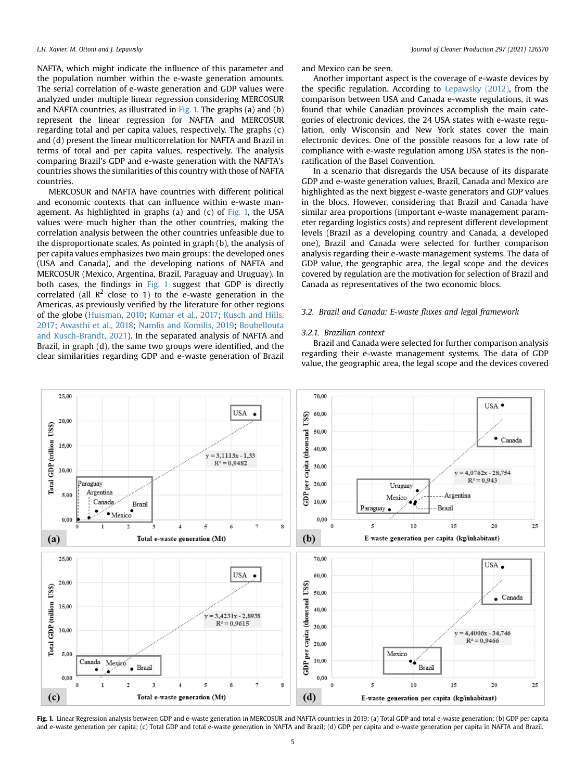NAFTA, which might indicate the influence of this parameter and the population number within the e-waste generation amounts. The serial correlation of e-waste generation and GDP values were analyzed under multiple linear regression considering MERCOSUR and NAFTA countries, as illustrated in [Fig. 1.](#page-4-0) The graphs (a) and (b) represent the linear regression for NAFTA and MERCOSUR regarding total and per capita values, respectively. The graphs (c) and (d) present the linear multicorrelation for NAFTA and Brazil in terms of total and per capita values, respectively. The analysis comparing Brazil's GDP and e-waste generation with the NAFTA's countries shows the similarities of this country with those of NAFTA countries.

MERCOSUR and NAFTA have countries with different political and economic contexts that can influence within e-waste management. As highlighted in graphs (a) and (c) of  $Fig. 1$ , the USA values were much higher than the other countries, making the correlation analysis between the other countries unfeasible due to the disproportionate scales. As pointed in graph (b), the analysis of per capita values emphasizes two main groups: the developed ones (USA and Canada), and the developing nations of NAFTA and MERCOSUR (Mexico, Argentina, Brazil, Paraguay and Uruguay). In both cases, the findings in [Fig. 1](#page-4-0) suggest that GDP is directly correlated (all  $\mathbb{R}^2$  close to 1) to the e-waste generation in the Americas, as previously verified by the literature for other regions of the globe ([Huisman, 2010](#page-11-34); [Kumar et al., 2017;](#page-11-16) [Kusch and Hills,](#page-11-35) [2017;](#page-11-35) [Awasthi et al., 2018](#page-11-1); [Namlis and Komilis, 2019;](#page-11-36) [Boubellouta](#page-11-13) [and Kusch-Brandt, 2021\)](#page-11-13). In the separated analysis of NAFTA and Brazil, in graph (d), the same two groups were identified, and the clear similarities regarding GDP and e-waste generation of Brazil and Mexico can be seen.

Another important aspect is the coverage of e-waste devices by the specific regulation. According to [Lepawsky \(2012\),](#page-11-30) from the comparison between USA and Canada e-waste regulations, it was found that while Canadian provinces accomplish the main categories of electronic devices, the 24 USA states with e-waste regulation, only Wisconsin and New York states cover the main electronic devices. One of the possible reasons for a low rate of compliance with e-waste regulation among USA states is the nonratification of the Basel Convention.

In a scenario that disregards the USA because of its disparate GDP and e-waste generation values, Brazil, Canada and Mexico are highlighted as the next biggest e-waste generators and GDP values in the blocs. However, considering that Brazil and Canada have similar area proportions (important e-waste management parameter regarding logistics costs) and represent different development levels (Brazil as a developing country and Canada, a developed one), Brazil and Canada were selected for further comparison analysis regarding their e-waste management systems. The data of GDP value, the geographic area, the legal scope and the devices covered by regulation are the motivation for selection of Brazil and Canada as representatives of the two economic blocs.

### 3.2. Brazil and Canada: E-waste fluxes and legal framework

### 3.2.1. Brazilian context

Brazil and Canada were selected for further comparison analysis regarding their e-waste management systems. The data of GDP value, the geographic area, the legal scope and the devices covered

<span id="page-4-0"></span>

Fig. 1. Linear Regression analysis between GDP and e-waste generation in MERCOSUR and NAFTA countries in 2019: (a) Total GDP and total e-waste generation; (b) GDP per capita and e-waste generation per capita; (c) Total GDP and total e-waste generation in NAFTA and Brazil; (d) GDP per capita and e-waste generation per capita in NAFTA and Brazil.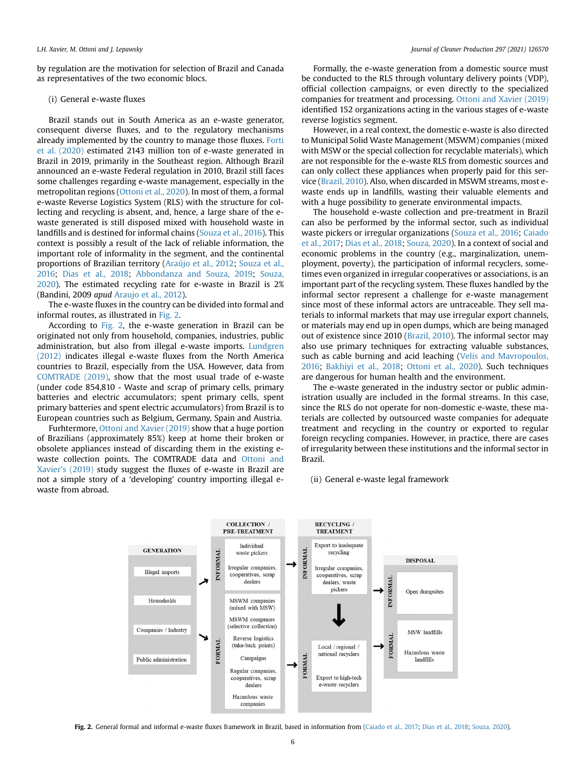by regulation are the motivation for selection of Brazil and Canada as representatives of the two economic blocs.

### (i) General e-waste fluxes

Brazil stands out in South America as an e-waste generator, consequent diverse fluxes, and to the regulatory mechanisms already implemented by the country to manage those fluxes. [Forti](#page-11-12) [et al. \(2020\)](#page-11-12) estimated 2143 million ton of e-waste generated in Brazil in 2019, primarily in the Southeast region. Although Brazil announced an e-waste Federal regulation in 2010, Brazil still faces some challenges regarding e-waste management, especially in the metropolitan regions ([Ottoni et al., 2020\)](#page-11-6). In most of them, a formal e-waste Reverse Logistics System (RLS) with the structure for collecting and recycling is absent, and, hence, a large share of the ewaste generated is still disposed mixed with household waste in landfills and is destined for informal chains ([Souza et al., 2016](#page-12-10)). This context is possibly a result of the lack of reliable information, the important role of informality in the segment, and the continental proportions of Brazilian territory [\(Araújo et al., 2012;](#page-11-33) [Souza et al.,](#page-12-10) [2016;](#page-12-10) [Dias et al., 2018;](#page-11-29) [Abbondanza and Souza, 2019;](#page-10-1) [Souza,](#page-12-11) [2020\)](#page-12-11). The estimated recycling rate for e-waste in Brazil is 2% (Bandini, 2009 apud [Araujo et al., 2012\)](#page-11-33).

The e-waste fluxes in the country can be divided into formal and informal routes, as illustrated in [Fig. 2.](#page-5-0)

According to [Fig. 2,](#page-5-0) the e-waste generation in Brazil can be originated not only from household, companies, industries, public administration, but also from illegal e-waste imports. [Lundgren](#page-11-37) [\(2012\)](#page-11-37) indicates illegal e-waste fluxes from the North America countries to Brazil, especially from the USA. However, data from [COMTRADE \(2019\),](#page-11-38) show that the most usual trade of e-waste (under code 854,810 - Waste and scrap of primary cells, primary batteries and electric accumulators; spent primary cells, spent primary batteries and spent electric accumulators) from Brazil is to European countries such as Belgium, Germany, Spain and Austria.

<span id="page-5-0"></span>Furhtermore, [Ottoni and Xavier \(2019\)](#page-11-39) show that a huge portion of Brazilians (approximately 85%) keep at home their broken or obsolete appliances instead of discarding them in the existing ewaste collection points. The COMTRADE data and [Ottoni and](#page-11-39) Xavier'[s \(2019\)](#page-11-39) study suggest the fluxes of e-waste in Brazil are not a simple story of a 'developing' country importing illegal ewaste from abroad.

Formally, the e-waste generation from a domestic source must be conducted to the RLS through voluntary delivery points (VDP), official collection campaigns, or even directly to the specialized companies for treatment and processing. [Ottoni and Xavier \(2019\)](#page-11-39) identified 152 organizations acting in the various stages of e-waste reverse logistics segment.

However, in a real context, the domestic e-waste is also directed to Municipal Solid Waste Management (MSWM) companies (mixed with MSW or the special collection for recyclable materials), which are not responsible for the e-waste RLS from domestic sources and can only collect these appliances when properly paid for this service [\(Brazil, 2010\)](#page-11-40). Also, when discarded in MSWM streams, most ewaste ends up in landfills, wasting their valuable elements and with a huge possibility to generate environmental impacts.

The household e-waste collection and pre-treatment in Brazil can also be performed by the informal sector, such as individual waste pickers or irregular organizations [\(Souza et al., 2016](#page-12-10); [Caiado](#page-11-41) [et al., 2017](#page-11-41); [Dias et al., 2018;](#page-11-29) [Souza, 2020\)](#page-12-11). In a context of social and economic problems in the country (e.g., marginalization, unemployment, poverty), the participation of informal recyclers, sometimes even organized in irregular cooperatives or associations, is an important part of the recycling system. These fluxes handled by the informal sector represent a challenge for e-waste management since most of these informal actors are untraceable. They sell materials to informal markets that may use irregular export channels, or materials may end up in open dumps, which are being managed out of existence since 2010 [\(Brazil, 2010\)](#page-11-40). The informal sector may also use primary techniques for extracting valuable substances, such as cable burning and acid leaching ([Velis and Mavropoulos,](#page-12-18) [2016;](#page-12-18) [Bakhiyi et al., 2018;](#page-11-11) [Ottoni et al., 2020\)](#page-11-6). Such techniques are dangerous for human health and the environment.

The e-waste generated in the industry sector or public administration usually are included in the formal streams. In this case, since the RLS do not operate for non-domestic e-waste, these materials are collected by outsourced waste companies for adequate treatment and recycling in the country or exported to regular foreign recycling companies. However, in practice, there are cases of irregularity between these institutions and the informal sector in Brazil.

### (ii) General e-waste legal framework



Fig. 2. General formal and informal e-waste fluxes framework in Brazil, based in information from ([Caiado et al., 2017](#page-11-41); [Dias et al., 2018;](#page-11-29) [Souza, 2020\)](#page-12-11).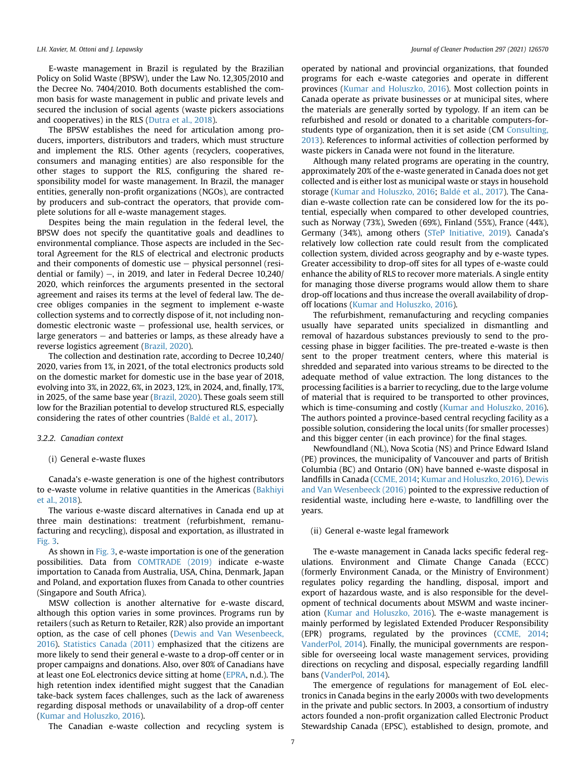E-waste management in Brazil is regulated by the Brazilian Policy on Solid Waste (BPSW), under the Law No. 12,305/2010 and the Decree No. 7404/2010. Both documents established the common basis for waste management in public and private levels and secured the inclusion of social agents (waste pickers associations and cooperatives) in the RLS [\(Dutra et al., 2018\)](#page-11-42).

The BPSW establishes the need for articulation among producers, importers, distributors and traders, which must structure and implement the RLS. Other agents (recyclers, cooperatives, consumers and managing entities) are also responsible for the other stages to support the RLS, configuring the shared responsibility model for waste management. In Brazil, the manager entities, generally non-profit organizations (NGOs), are contracted by producers and sub-contract the operators, that provide complete solutions for all e-waste management stages.

Despites being the main regulation in the federal level, the BPSW does not specify the quantitative goals and deadlines to environmental compliance. Those aspects are included in the Sectoral Agreement for the RLS of electrical and electronic products and their components of domestic use  $-$  physical personnel (residential or family)  $-$ , in 2019, and later in Federal Decree 10,240/ 2020, which reinforces the arguments presented in the sectoral agreement and raises its terms at the level of federal law. The decree obliges companies in the segment to implement e-waste collection systems and to correctly dispose of it, not including nondomestic electronic waste - professional use, health services, or large generators  $-$  and batteries or lamps, as these already have a reverse logistics agreement ([Brazil, 2020](#page-11-43)).

The collection and destination rate, according to Decree 10,240/ 2020, varies from 1%, in 2021, of the total electronics products sold on the domestic market for domestic use in the base year of 2018, evolving into 3%, in 2022, 6%, in 2023, 12%, in 2024, and, finally, 17%, in 2025, of the same base year [\(Brazil, 2020](#page-11-43)). These goals seem still low for the Brazilian potential to develop structured RLS, especially considering the rates of other countries ([Bald](#page-11-0)é [et al., 2017](#page-11-0)).

### 3.2.2. Canadian context

### (i) General e-waste fluxes

Canada's e-waste generation is one of the highest contributors to e-waste volume in relative quantities in the Americas ([Bakhiyi](#page-11-11) [et al., 2018](#page-11-11)).

The various e-waste discard alternatives in Canada end up at three main destinations: treatment (refurbishment, remanufacturing and recycling), disposal and exportation, as illustrated in [Fig. 3.](#page-7-0)

As shown in [Fig. 3](#page-7-0), e-waste importation is one of the generation possibilities. Data from [COMTRADE \(2019\)](#page-11-38) indicate e-waste importation to Canada from Australia, USA, China, Denmark, Japan and Poland, and exportation fluxes from Canada to other countries (Singapore and South Africa).

MSW collection is another alternative for e-waste discard, although this option varies in some provinces. Programs run by retailers (such as Return to Retailer, R2R) also provide an important option, as the case of cell phones ([Dewis and Van Wesenbeeck,](#page-11-44) [2016\)](#page-11-44). [Statistics Canada \(2011\)](#page-12-19) emphasized that the citizens are more likely to send their general e-waste to a drop-off center or in proper campaigns and donations. Also, over 80% of Canadians have at least one EoL electronics device sitting at home [\(EPRA,](#page-11-45) n.d.). The high retention index identified might suggest that the Canadian take-back system faces challenges, such as the lack of awareness regarding disposal methods or unavailability of a drop-off center ([Kumar and Holuszko, 2016\)](#page-11-31).

The Canadian e-waste collection and recycling system is

operated by national and provincial organizations, that founded programs for each e-waste categories and operate in different provinces [\(Kumar and Holuszko, 2016](#page-11-31)). Most collection points in Canada operate as private businesses or at municipal sites, where the materials are generally sorted by typology. If an item can be refurbished and resold or donated to a charitable computers-forstudents type of organization, then it is set aside (CM [Consulting,](#page-11-46) [2013\)](#page-11-46). References to informal activities of collection performed by waste pickers in Canada were not found in the literature.

Although many related programs are operating in the country, approximately 20% of the e-waste generated in Canada does not get collected and is either lost as municipal waste or stays in household storage ([Kumar and Holuszko, 2016;](#page-11-31) Baldé et al., 2017). The Canadian e-waste collection rate can be considered low for the its potential, especially when compared to other developed countries, such as Norway (73%), Sweden (69%), Finland (55%), France (44%), Germany (34%), among others ([STeP Initiative, 2019](#page-12-20)). Canada's relatively low collection rate could result from the complicated collection system, divided across geography and by e-waste types. Greater accessibility to drop-off sites for all types of e-waste could enhance the ability of RLS to recover more materials. A single entity for managing those diverse programs would allow them to share drop-off locations and thus increase the overall availability of dropoff locations [\(Kumar and Holuszko, 2016](#page-11-31)).

The refurbishment, remanufacturing and recycling companies usually have separated units specialized in dismantling and removal of hazardous substances previously to send to the processing phase in bigger facilities. The pre-treated e-waste is then sent to the proper treatment centers, where this material is shredded and separated into various streams to be directed to the adequate method of value extraction. The long distances to the processing facilities is a barrier to recycling, due to the large volume of material that is required to be transported to other provinces, which is time-consuming and costly [\(Kumar and Holuszko, 2016\)](#page-11-31). The authors pointed a province-based central recycling facility as a possible solution, considering the local units (for smaller processes) and this bigger center (in each province) for the final stages.

Newfoundland (NL), Nova Scotia (NS) and Prince Edward Island (PE) provinces, the municipality of Vancouver and parts of British Columbia (BC) and Ontario (ON) have banned e-waste disposal in landfills in Canada ([CCME, 2014;](#page-11-28) [Kumar and Holuszko, 2016\)](#page-11-31). [Dewis](#page-11-44) [and Van Wesenbeeck \(2016\)](#page-11-44) pointed to the expressive reduction of residential waste, including here e-waste, to landfilling over the years.

### (ii) General e-waste legal framework

The e-waste management in Canada lacks specific federal regulations. Environment and Climate Change Canada (ECCC) (formerly Environment Canada, or the Ministry of Environment) regulates policy regarding the handling, disposal, import and export of hazardous waste, and is also responsible for the development of technical documents about MSWM and waste incineration ([Kumar and Holuszko, 2016](#page-11-31)). The e-waste management is mainly performed by legislated Extended Producer Responsibility (EPR) programs, regulated by the provinces [\(CCME, 2014;](#page-11-28) [VanderPol, 2014\)](#page-12-21). Finally, the municipal governments are responsible for overseeing local waste management services, providing directions on recycling and disposal, especially regarding landfill bans ([VanderPol, 2014](#page-12-21)).

The emergence of regulations for management of EoL electronics in Canada begins in the early 2000s with two developments in the private and public sectors. In 2003, a consortium of industry actors founded a non-profit organization called Electronic Product Stewardship Canada (EPSC), established to design, promote, and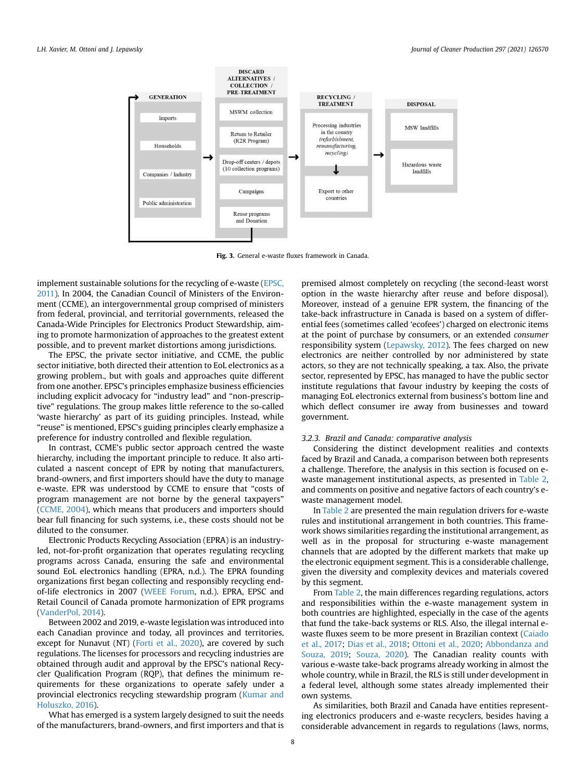<span id="page-7-0"></span>

Fig. 3. General e-waste fluxes framework in Canada.

implement sustainable solutions for the recycling of e-waste [\(EPSC,](#page-11-47) [2011](#page-11-47)). In 2004, the Canadian Council of Ministers of the Environment (CCME), an intergovernmental group comprised of ministers from federal, provincial, and territorial governments, released the Canada-Wide Principles for Electronics Product Stewardship, aiming to promote harmonization of approaches to the greatest extent possible, and to prevent market distortions among jurisdictions.

The EPSC, the private sector initiative, and CCME, the public sector initiative, both directed their attention to EoL electronics as a growing problem., but with goals and approaches quite different from one another. EPSC's principles emphasize business efficiencies including explicit advocacy for "industry lead" and "non-prescriptive" regulations. The group makes little reference to the so-called 'waste hierarchy' as part of its guiding principles. Instead, while "reuse" is mentioned, EPSC's guiding principles clearly emphasize a preference for industry controlled and flexible regulation.

In contrast, CCME's public sector approach centred the waste hierarchy, including the important principle to reduce. It also articulated a nascent concept of EPR by noting that manufacturers, brand-owners, and first importers should have the duty to manage e-waste. EPR was understood by CCME to ensure that "costs of program management are not borne by the general taxpayers" ([CCME, 2004\)](#page-11-48), which means that producers and importers should bear full financing for such systems, i.e., these costs should not be diluted to the consumer.

Electronic Products Recycling Association (EPRA) is an industryled, not-for-profit organization that operates regulating recycling programs across Canada, ensuring the safe and environmental sound EoL electronics handling (EPRA, n.d.). The EPRA founding organizations first began collecting and responsibly recycling endof-life electronics in 2007 [\(WEEE Forum,](#page-12-22) n.d.). EPRA, EPSC and Retail Council of Canada promote harmonization of EPR programs ([VanderPol, 2014](#page-12-21)).

Between 2002 and 2019, e-waste legislation was introduced into each Canadian province and today, all provinces and territories, except for Nunavut (NT) [\(Forti et al., 2020](#page-11-12)), are covered by such regulations. The licenses for processors and recycling industries are obtained through audit and approval by the EPSC's national Recycler Qualification Program (RQP), that defines the minimum requirements for these organizations to operate safely under a provincial electronics recycling stewardship program [\(Kumar and](#page-11-31) [Holuszko, 2016](#page-11-31)).

What has emerged is a system largely designed to suit the needs of the manufacturers, brand-owners, and first importers and that is

premised almost completely on recycling (the second-least worst option in the waste hierarchy after reuse and before disposal). Moreover, instead of a genuine EPR system, the financing of the take-back infrastructure in Canada is based on a system of differential fees (sometimes called 'ecofees') charged on electronic items at the point of purchase by consumers, or an extended consumer responsibility system [\(Lepawsky, 2012](#page-11-30)). The fees charged on new electronics are neither controlled by nor administered by state actors, so they are not technically speaking, a tax. Also, the private sector, represented by EPSC, has managed to have the public sector institute regulations that favour industry by keeping the costs of managing EoL electronics external from business's bottom line and which deflect consumer ire away from businesses and toward government.

### 3.2.3. Brazil and Canada: comparative analysis

Considering the distinct development realities and contexts faced by Brazil and Canada, a comparison between both represents a challenge. Therefore, the analysis in this section is focused on ewaste management institutional aspects, as presented in [Table 2,](#page-8-0) and comments on positive and negative factors of each country's ewaste management model.

In [Table 2](#page-8-0) are presented the main regulation drivers for e-waste rules and institutional arrangement in both countries. This framework shows similarities regarding the institutional arrangement, as well as in the proposal for structuring e-waste management channels that are adopted by the different markets that make up the electronic equipment segment. This is a considerable challenge, given the diversity and complexity devices and materials covered by this segment.

From [Table 2,](#page-8-0) the main differences regarding regulations, actors and responsibilities within the e-waste management system in both countries are highlighted, especially in the case of the agents that fund the take-back systems or RLS. Also, the illegal internal ewaste fluxes seem to be more present in Brazilian context [\(Caiado](#page-11-41) [et al., 2017;](#page-11-41) [Dias et al., 2018;](#page-11-29) [Ottoni et al., 2020](#page-11-6); [Abbondanza and](#page-10-1) [Souza, 2019](#page-10-1); [Souza, 2020\)](#page-12-11). The Canadian reality counts with various e-waste take-back programs already working in almost the whole country, while in Brazil, the RLS is still under development in a federal level, although some states already implemented their own systems.

As similarities, both Brazil and Canada have entities representing electronics producers and e-waste recyclers, besides having a considerable advancement in regards to regulations (laws, norms,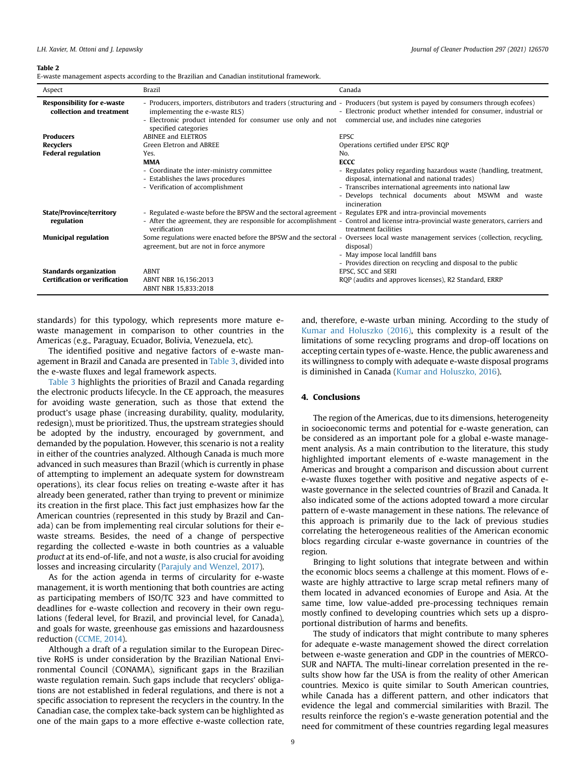### <span id="page-8-0"></span>Table 2

E-waste management aspects according to the Brazilian and Canadian institutional framework.

| Aspect                                                        | Brazil                                                                                                                                                                                                                                                                                        | Canada                                                                                                                                                                                                                                                |  |
|---------------------------------------------------------------|-----------------------------------------------------------------------------------------------------------------------------------------------------------------------------------------------------------------------------------------------------------------------------------------------|-------------------------------------------------------------------------------------------------------------------------------------------------------------------------------------------------------------------------------------------------------|--|
| <b>Responsibility for e-waste</b><br>collection and treatment | implementing the e-waste RLS)<br>- Electronic product intended for consumer use only and not commercial use, and includes nine categories<br>specified categories                                                                                                                             | - Producers, importers, distributors and traders (structuring and - Producers (but system is payed by consumers through ecofees)<br>- Electronic product whether intended for consumer, industrial or                                                 |  |
| <b>Producers</b>                                              | <b>ABINEE and ELETROS</b>                                                                                                                                                                                                                                                                     | <b>EPSC</b>                                                                                                                                                                                                                                           |  |
| <b>Recyclers</b>                                              | Green Eletron and ABREE                                                                                                                                                                                                                                                                       | Operations certified under EPSC ROP                                                                                                                                                                                                                   |  |
| <b>Federal regulation</b>                                     | Yes.                                                                                                                                                                                                                                                                                          | No.                                                                                                                                                                                                                                                   |  |
|                                                               | <b>MMA</b>                                                                                                                                                                                                                                                                                    | <b>ECCC</b>                                                                                                                                                                                                                                           |  |
|                                                               | - Coordinate the inter-ministry committee<br>- Establishes the laws procedures<br>- Verification of accomplishment                                                                                                                                                                            | - Regulates policy regarding hazardous waste (handling, treatment,<br>disposal, international and national trades)<br>- Transcribes international agreements into national law<br>- Develops technical documents about MSWM and waste<br>incineration |  |
| State/Province/territory<br>regulation                        | - Regulated e-waste before the BPSW and the sectoral agreement - Regulates EPR and intra-provincial movements<br>- After the agreement, they are responsible for accomplishment - Control and license intra-provincial waste generators, carriers and<br>verification<br>treatment facilities |                                                                                                                                                                                                                                                       |  |
| <b>Municipal regulation</b>                                   | agreement, but are not in force anymore                                                                                                                                                                                                                                                       | Some regulations were enacted before the BPSW and the sectoral - Oversees local waste management services (collection, recycling,<br>disposal)<br>- May impose local landfill bans<br>- Provides direction on recycling and disposal to the public    |  |
| <b>Standards organization</b>                                 | <b>ABNT</b>                                                                                                                                                                                                                                                                                   | EPSC, SCC and SERI                                                                                                                                                                                                                                    |  |
| <b>Certification or verification</b>                          | ABNT NBR 16,156:2013<br>ABNT NBR 15,833:2018                                                                                                                                                                                                                                                  | RQP (audits and approves licenses), R2 Standard, ERRP                                                                                                                                                                                                 |  |

standards) for this typology, which represents more mature ewaste management in comparison to other countries in the Americas (e.g., Paraguay, Ecuador, Bolivia, Venezuela, etc).

The identified positive and negative factors of e-waste management in Brazil and Canada are presented in [Table 3,](#page-9-0) divided into the e-waste fluxes and legal framework aspects.

[Table 3](#page-9-0) highlights the priorities of Brazil and Canada regarding the electronic products lifecycle. In the CE approach, the measures for avoiding waste generation, such as those that extend the product's usage phase (increasing durability, quality, modularity, redesign), must be prioritized. Thus, the upstream strategies should be adopted by the industry, encouraged by government, and demanded by the population. However, this scenario is not a reality in either of the countries analyzed. Although Canada is much more advanced in such measures than Brazil (which is currently in phase of attempting to implement an adequate system for downstream operations), its clear focus relies on treating e-waste after it has already been generated, rather than trying to prevent or minimize its creation in the first place. This fact just emphasizes how far the American countries (represented in this study by Brazil and Canada) can be from implementing real circular solutions for their ewaste streams. Besides, the need of a change of perspective regarding the collected e-waste in both countries as a valuable product at its end-of-life, and not a waste, is also crucial for avoiding losses and increasing circularity ([Parajuly and Wenzel, 2017\)](#page-12-23).

As for the action agenda in terms of circularity for e-waste management, it is worth mentioning that both countries are acting as participating members of ISO/TC 323 and have committed to deadlines for e-waste collection and recovery in their own regulations (federal level, for Brazil, and provincial level, for Canada), and goals for waste, greenhouse gas emissions and hazardousness reduction [\(CCME, 2014](#page-11-28)).

Although a draft of a regulation similar to the European Directive RoHS is under consideration by the Brazilian National Environmental Council (CONAMA), significant gaps in the Brazilian waste regulation remain. Such gaps include that recyclers' obligations are not established in federal regulations, and there is not a specific association to represent the recyclers in the country. In the Canadian case, the complex take-back system can be highlighted as one of the main gaps to a more effective e-waste collection rate,

and, therefore, e-waste urban mining. According to the study of [Kumar and Holuszko \(2016\)](#page-11-31), this complexity is a result of the limitations of some recycling programs and drop-off locations on accepting certain types of e-waste. Hence, the public awareness and its willingness to comply with adequate e-waste disposal programs is diminished in Canada [\(Kumar and Holuszko, 2016\)](#page-11-31).

### 4. Conclusions

The region of the Americas, due to its dimensions, heterogeneity in socioeconomic terms and potential for e-waste generation, can be considered as an important pole for a global e-waste management analysis. As a main contribution to the literature, this study highlighted important elements of e-waste management in the Americas and brought a comparison and discussion about current e-waste fluxes together with positive and negative aspects of ewaste governance in the selected countries of Brazil and Canada. It also indicated some of the actions adopted toward a more circular pattern of e-waste management in these nations. The relevance of this approach is primarily due to the lack of previous studies correlating the heterogeneous realities of the American economic blocs regarding circular e-waste governance in countries of the region.

Bringing to light solutions that integrate between and within the economic blocs seems a challenge at this moment. Flows of ewaste are highly attractive to large scrap metal refiners many of them located in advanced economies of Europe and Asia. At the same time, low value-added pre-processing techniques remain mostly confined to developing countries which sets up a disproportional distribution of harms and benefits.

The study of indicators that might contribute to many spheres for adequate e-waste management showed the direct correlation between e-waste generation and GDP in the countries of MERCO-SUR and NAFTA. The multi-linear correlation presented in the results show how far the USA is from the reality of other American countries. Mexico is quite similar to South American countries, while Canada has a different pattern, and other indicators that evidence the legal and commercial similarities with Brazil. The results reinforce the region's e-waste generation potential and the need for commitment of these countries regarding legal measures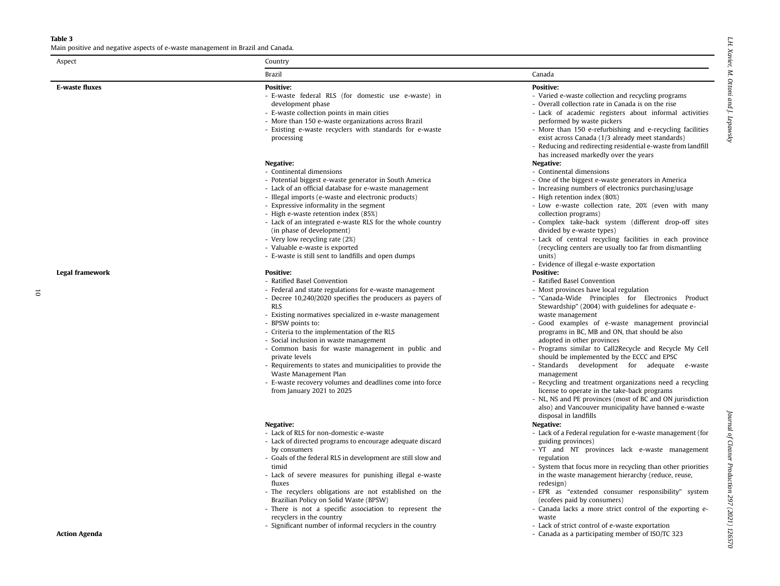### Table 3

<span id="page-9-0"></span>E-waste

Main positive and negative aspects of e-waste management in Brazil and Canada.

| :<br>::::    |
|--------------|
| Χανιετ;<br>ĩ |
| Ĩ            |
| Otto ni      |
| and J        |
|              |
| ř            |

| Aspect          | Country                                                                                                                                                                                                                                                                                                                                                                                                                                                                                                                                                                                                              |                                                                                                                                                                                                                                                                                                                                                                                                                                                                                                                                                                                                                                                                                                                                                                                                                                          |  |  |  |  |  |
|-----------------|----------------------------------------------------------------------------------------------------------------------------------------------------------------------------------------------------------------------------------------------------------------------------------------------------------------------------------------------------------------------------------------------------------------------------------------------------------------------------------------------------------------------------------------------------------------------------------------------------------------------|------------------------------------------------------------------------------------------------------------------------------------------------------------------------------------------------------------------------------------------------------------------------------------------------------------------------------------------------------------------------------------------------------------------------------------------------------------------------------------------------------------------------------------------------------------------------------------------------------------------------------------------------------------------------------------------------------------------------------------------------------------------------------------------------------------------------------------------|--|--|--|--|--|
|                 | Brazil                                                                                                                                                                                                                                                                                                                                                                                                                                                                                                                                                                                                               | Canada                                                                                                                                                                                                                                                                                                                                                                                                                                                                                                                                                                                                                                                                                                                                                                                                                                   |  |  |  |  |  |
| E-waste fluxes  | <b>Positive:</b><br>- E-waste federal RLS (for domestic use e-waste) in<br>development phase<br>- E-waste collection points in main cities<br>- More than 150 e-waste organizations across Brazil<br>- Existing e-waste recyclers with standards for e-waste<br>processing                                                                                                                                                                                                                                                                                                                                           | <b>Positive:</b><br>- Varied e-waste collection and recycling programs<br>- Overall collection rate in Canada is on the rise<br>- Lack of academic registers about informal activities<br>performed by waste pickers<br>- More than 150 e-refurbishing and e-recycling facilities<br>exist across Canada (1/3 already meet standards)<br>- Reducing and redirecting residential e-waste from landfill                                                                                                                                                                                                                                                                                                                                                                                                                                    |  |  |  |  |  |
|                 | Negative:<br>- Continental dimensions<br>- Potential biggest e-waste generator in South America<br>- Lack of an official database for e-waste management<br>- Illegal imports (e-waste and electronic products)<br>- Expressive informality in the segment<br>- High e-waste retention index (85%)<br>- Lack of an integrated e-waste RLS for the whole country<br>(in phase of development)<br>- Very low recycling rate (2%)<br>- Valuable e-waste is exported<br>- E-waste is still sent to landfills and open dumps                                                                                              | has increased markedly over the years<br>Negative:<br>- Continental dimensions<br>- One of the biggest e-waste generators in America<br>- Increasing numbers of electronics purchasing/usage<br>- High retention index (80%)<br>- Low e-waste collection rate, 20% (even with many<br>collection programs)<br>- Complex take-back system (different drop-off sites<br>divided by e-waste types)<br>- Lack of central recycling facilities in each province<br>(recycling centers are usually too far from dismantling<br>units)                                                                                                                                                                                                                                                                                                          |  |  |  |  |  |
| Legal framework | <b>Positive:</b><br>- Ratified Basel Convention<br>- Federal and state regulations for e-waste management<br>- Decree 10,240/2020 specifies the producers as payers of<br><b>RLS</b><br>- Existing normatives specialized in e-waste management<br>- BPSW points to:<br>- Criteria to the implementation of the RLS<br>- Social inclusion in waste management<br>- Common basis for waste management in public and<br>private levels<br>- Requirements to states and municipalities to provide the<br>Waste Management Plan<br>- E-waste recovery volumes and deadlines come into force<br>from January 2021 to 2025 | - Evidence of illegal e-waste exportation<br><b>Positive:</b><br>- Ratified Basel Convention<br>- Most provinces have local regulation<br>- "Canada-Wide Principles for Electronics Product<br>Stewardship" (2004) with guidelines for adequate e-<br>waste management<br>Good examples of e-waste management provincial<br>programs in BC, MB and ON, that should be also<br>adopted in other provinces<br>- Programs similar to Call2Recycle and Recycle My Cell<br>should be implemented by the ECCC and EPSC<br>- Standards development for adequate e-waste<br>management<br>- Recycling and treatment organizations need a recycling<br>license to operate in the take-back programs<br>- NL, NS and PE provinces (most of BC and ON jurisdiction<br>also) and Vancouver municipality have banned e-waste<br>disposal in landfills |  |  |  |  |  |
|                 | Negative:<br>- Lack of RLS for non-domestic e-waste<br>- Lack of directed programs to encourage adequate discard<br>by consumers<br>- Goals of the federal RLS in development are still slow and<br>timid<br>- Lack of severe measures for punishing illegal e-waste<br>fluxes<br>- The recyclers obligations are not established on the<br>Brazilian Policy on Solid Waste (BPSW)<br>- There is not a specific association to represent the<br>recyclers in the country                                                                                                                                             | Negative:<br>- Lack of a Federal regulation for e-waste management (for<br>guiding provinces)<br>- YT and NT provinces lack e-waste management<br>regulation<br>- System that focus more in recycling than other priorities<br>in the waste management hierarchy (reduce, reuse,<br>redesign)<br>- EPR as "extended consumer responsibility" system<br>(ecofees paid by consumers)<br>- Canada lacks a more strict control of the exporting e-<br>waste                                                                                                                                                                                                                                                                                                                                                                                  |  |  |  |  |  |

- waste
- Significant number of informal recyclers in the country
- Lack of strict control of e-waste exportation Action Agenda **Action** Separation Agenda as a participating member of ISO/TC 323
- Legal fra
- 10

Journal of Cleaner Production 297 (2021) 126570 Journal of Cleaner Production 297 (2021) 126570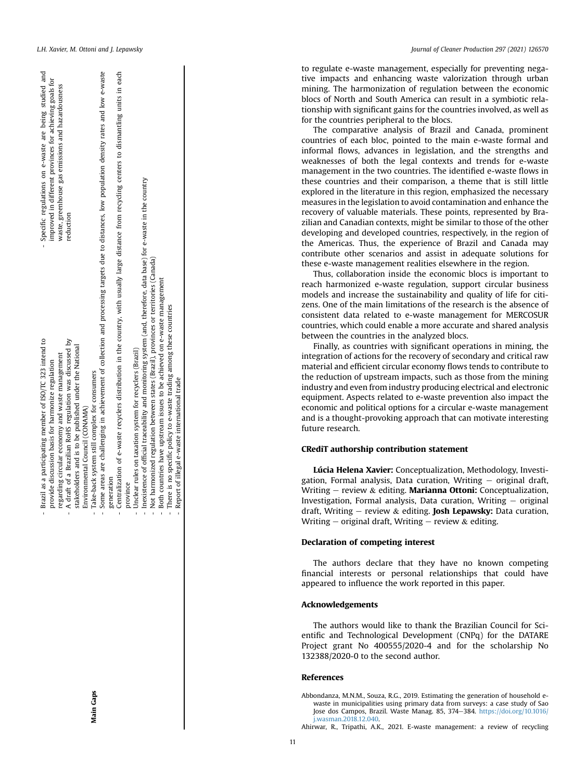Main Gaps

- Brazil as a participating member of ISO/TC 323 intend to

Brazil as a participating member of ISO/TC 323 intend to

- Specific regulations on e-waste are being studied and

Specific regulations on e-waste

 $\frac{1}{6}$ 

and

being studied

in each generation generation

- Centralization of e-waste recyclers distribution in the country, with usually large distance from recycling centers to dismantling units in each Centralization of e-waste recyclers distribution in the country, with usually large distance from recycling centers to dismantling units province
	- Unclear rules on taxation system for recyclers (Brazil) - Unclear rules on taxation system for recyclers (Brazil)
- Inexistence of official traceability and monitoring system (and, therefore, data base) for e-waste in the country - Inexistence of official traceability and monitoring system (and, therefore, data base) for e-waste in the country
	- Not harmonized regulation between states (Brazil), provinces or territories (Canada) - Not harmonized regulation between states (Brazil), provinces or territories (Canada)
		- Both countries have upstream issues to be achieved on e-waste management - Both countries have upstream issues to be achieved on e-waste management
			- There is no specific policy to e-waste trading among these countries - There is no specific policy to e-waste trading among these countries
				-

# Report of illegal e-waste international trade - Report of illegal e-waste international trade

L.H. Xavier, M. Ottoni and J. Lepawsky Journal of Cleaner Production 297 (2021) 126570

to regulate e-waste management, especially for preventing negative impacts and enhancing waste valorization through urban mining. The harmonization of regulation between the economic blocs of North and South America can result in a symbiotic relationship with significant gains for the countries involved, as well as for the countries peripheral to the blocs.

The comparative analysis of Brazil and Canada, prominent countries of each bloc, pointed to the main e-waste formal and informal flows, advances in legislation, and the strengths and weaknesses of both the legal contexts and trends for e-waste management in the two countries. The identi fied e-waste flows in these countries and their comparison, a theme that is still little explored in the literature in this region, emphasized the necessary measures in the legislation to avoid contamination and enhance the recovery of valuable materials. These points, represented by Brazilian and Canadian contexts, might be similar to those of the other developing and developed countries, respectively, in the region of the Americas. Thus, the experience of Brazil and Canada may contribute other scenarios and assist in adequate solutions for these e-waste management realities elsewhere in the region.

Thus, collaboration inside the economic blocs is important to reach harmonized e-waste regulation, support circular business models and increase the sustainability and quality of life for citizens. One of the main limitations of the research is the absence of consistent data related to e-waste management for MERCOSUR countries, which could enable a more accurate and shared analysis between the countries in the analyzed blocs.

Finally, as countries with significant operations in mining, the integration of actions for the recovery of secondary and critical raw material and efficient circular economy flows tends to contribute to the reduction of upstream impacts, such as those from the mining industry and even from industry producing electrical and electronic equipment. Aspects related to e-waste prevention also impact the economic and political options for a circular e-waste management and is a thought-provoking approach that can motivate interesting future research.

## CRediT authorship contribution statement

Lúcia Helena Xavier: Conceptualization, Methodology, Investigation, Formal analysis, Data curation, Writing  $-$  original draft, Writing - review & editing. Marianna Ottoni: Conceptualization, Investigation, Formal analysis, Data curation, Writing - original draft, Writing – review & editing. Josh Lepawsky: Data curation, Writing  $-$  original draft, Writing  $-$  review & editing.

## Declaration of competing interest

The authors declare that they have no known competing financial interests or personal relationships that could have appeared to in fluence the work reported in this paper.

### Acknowledgements

The authors would like to thank the Brazilian Council for Scientific and Technological Development (CNPq) for the DATARE Project grant No 400555/2020-4 and for the scholarship No 132388/2020-0 to the second author.

### References

<span id="page-10-1"></span>Abbondanza, M.N.M., Souza, R.G., 2019. Estimating the generation of household ewaste in municipalities using primary data from surveys: a case study of Sao Jose dos Campos, Brazil. Waste Manag. 85, 374-384. [https://doi.org/10.1016/](https://doi.org/10.1016/j.wasman.2018.12.040) [j.wasman.2018.12.040](https://doi.org/10.1016/j.wasman.2018.12.040) .

<span id="page-10-0"></span>Ahirwar, R., Tripathi, A.K., 2021. E-waste management: a review of recycling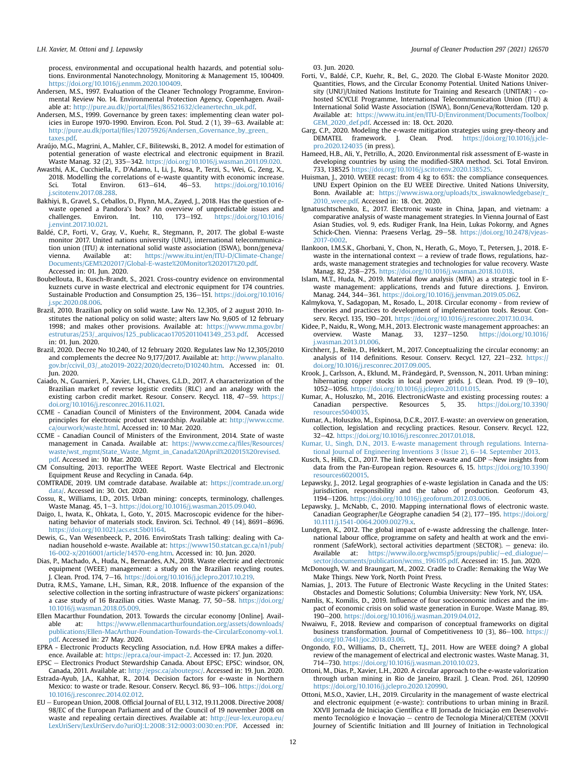process, environmental and occupational health hazards, and potential solutions. Environmental Nanotechnology, Monitoring & Management 15, 100409. [https://doi.org/10.1016/j.enmm.2020.100409.](https://doi.org/10.1016/j.enmm.2020.100409)

- <span id="page-11-22"></span>Andersen, M.S., 1997. Evaluation of the Cleaner Technology Programme, Environmental Review No. 14. Environmental Protection Agency, Copenhagen. Available at: http://pure.au.dk//portal/fi[les/86521632/cleanertechn\\_uk.pdf](http://pure.au.dk//portal/files/86521632/cleanertechn_uk.pdf).
- <span id="page-11-23"></span>Andersen, M.S., 1999. Governance by green taxes: implementing clean water policies in Europe 1970-1990. Environ. Econ. Pol. Stud.  $2(1)$ ,  $39-63$ . Available at: http://pure.au.dk/portal/fi[les/12075926/Andersen\\_Governance\\_by\\_green\\_](http://pure.au.dk/portal/files/12075926/Andersen_Governance_by_green_taxes.pdf) [taxes.pdf.](http://pure.au.dk/portal/files/12075926/Andersen_Governance_by_green_taxes.pdf)
- <span id="page-11-33"></span>Araújo, M.G., Magrini, A., Mahler, C.F., Bilitewski, B., 2012. A model for estimation of potential generation of waste electrical and electronic equipment in Brazil. Waste Manag. 32 (2), 335-342. [https://doi.org/10.1016/j.wasman.2011.09.020.](https://doi.org/10.1016/j.wasman.2011.09.020)
- <span id="page-11-1"></span>Awasthi, A.K., Cucchiella, F., D'Adamo, I., Li, J., Rosa, P., Terzi, S., Wei, G., Zeng, X., 2018. Modelling the correlations of e-waste quantity with economic increase.<br>Sci. Total Environ.  $613-614$ .  $46-53$ . https://doi.org/10.1016/ Sci. Total Environ.  $613-614$ ,  $46-53$ , [https://doi.org/10.1016/](https://doi.org/10.1016/j.scitotenv.2017.08.288) [j.scitotenv.2017.08.288](https://doi.org/10.1016/j.scitotenv.2017.08.288).
- <span id="page-11-11"></span>Bakhiyi, B., Gravel, S., Ceballos, D., Flynn, M.A., Zayed, J., 2018. Has the question of ewaste opened a Pandora's box? An overview of unpredictable issues and challenges. Environ. Int. 110, 173-192. [https://doi.org/10.1016/](https://doi.org/10.1016/j.envint.2017.10.021) [j.envint.2017.10.021.](https://doi.org/10.1016/j.envint.2017.10.021)
- <span id="page-11-0"></span>Baldé, C.P., Forti, V., Gray, V., Kuehr, R., Stegmann, P., 2017. The global E-waste monitor 2017. United nations university (UNU), international telecommunication union (ITU) & international solid waste association (ISWA), bonn/geneva/ vienna. Available at: [https://www.itu.int/en/ITU-D/Climate-Change/](https://www.itu.int/en/ITU-D/Climate-Change/Documents/GEM%202017/Global-E-waste%20Monitor%202017%20.pdf) [Documents/GEM%202017/Global-E-waste%20Monitor%202017%20.pdf.](https://www.itu.int/en/ITU-D/Climate-Change/Documents/GEM%202017/Global-E-waste%20Monitor%202017%20.pdf) Accessed in: 01. Jun. 2020.
- <span id="page-11-13"></span>Boubellouta, B., Kusch-Brandt, S., 2021. Cross-country evidence on environmental kuznets curve in waste electrical and electronic equipment for 174 countries. Sustainable Production and Consumption 25, 136-151. [https://doi.org/10.1016/](https://doi.org/10.1016/j.spc.2020.08.006) [j.spc.2020.08.006](https://doi.org/10.1016/j.spc.2020.08.006).
- <span id="page-11-40"></span>Brazil, 2010. Brazilian policy on solid waste. Law No. 12,305, of 2 august 2010. Institutes the national policy on solid waste; alters law No. 9,605 of 12 february 1998; and makes other provisions. Available at: https://www.mma.gov.br [estruturas/253/\\_arquivos/125\\_publicacao17052011041349\\_253.pdf.](https://www.mma.gov.br/estruturas/253/_arquivos/125_publicacao17052011041349_253.pdf) Accessed in: 01. Jun. 2020.
- <span id="page-11-43"></span>Brazil, 2020. Decree No 10,240, of 12 february 2020. Regulates law No 12,305/2010 and complements the decree No 9,177/2017. Available at: [http://www.planalto.](http://www.planalto.gov.br/ccivil_03/_ato2019-2022/2020/decreto/D10240.htm) [gov.br/ccivil\\_03/\\_ato2019-2022/2020/decreto/D10240.htm](http://www.planalto.gov.br/ccivil_03/_ato2019-2022/2020/decreto/D10240.htm). Accessed in: 01. Jun. 2020.
- <span id="page-11-41"></span>Caiado, N., Guarnieri, P., Xavier, L.H., Chaves, G.L.D., 2017. A characterization of the Brazilian market of reverse logistic credits (RLC) and an analogy with the existing carbon credit market. Resour. Conserv. Recycl. 118, 47-59. [https://](https://doi.org/10.1016/j.resconrec.2016.11.021) [doi.org/10.1016/j.resconrec.2016.11.021.](https://doi.org/10.1016/j.resconrec.2016.11.021)
- <span id="page-11-28"></span>CCME - Canadian Council of Ministers of the Environment, 2004. Canada wide principles for electronic product stewardship. Available at: [http://www.ccme.](http://www.ccme.ca/ourwork/waste.html) [ca/ourwork/waste.html](http://www.ccme.ca/ourwork/waste.html). Accessed in: 10 Mar. 2020.
- <span id="page-11-48"></span>CCME - Canadian Council of Ministers of the Environment, 2014. State of waste management in Canada. Available at: [https://www.ccme.ca/](https://www.ccme.ca/files/Resources/waste/wst_mgmt/State_Waste_Mgmt_in_Canada%20April%202015%20revised.pdf)files/Resources/ [waste/wst\\_mgmt/State\\_Waste\\_Mgmt\\_in\\_Canada%20April%202015%20revised.](https://www.ccme.ca/files/Resources/waste/wst_mgmt/State_Waste_Mgmt_in_Canada%20April%202015%20revised.pdf) [pdf.](https://www.ccme.ca/files/Resources/waste/wst_mgmt/State_Waste_Mgmt_in_Canada%20April%202015%20revised.pdf) Accessed in: 10 Mar. 2020.
- <span id="page-11-46"></span>CM Consulting, 2013. reportThe WEEE Report. Waste Electrical and Electronic Equipment Reuse and Recycling in Canada. 64p.
- <span id="page-11-38"></span>COMTRADE, 2019. UM comtrade database. Available at: [https://comtrade.un.org/](https://comtrade.un.org/data/) [data/.](https://comtrade.un.org/data/) Accessed in: 30. Oct. 2020.
- <span id="page-11-9"></span>Cossu, R., Williams, I.D., 2015. Urban mining: concepts, terminology, challenges. Waste Manag. 45, 1-3. [https://doi.org/10.1016/j.wasman.2015.09.040.](https://doi.org/10.1016/j.wasman.2015.09.040)
- <span id="page-11-7"></span>Daigo, I., Iwata, K., Ohkata, I., Goto, Y., 2015. Macroscopic evidence for the hibernating behavior of materials stock. Environ. Sci. Technol. 49 (14), 8691-8696. <https://doi.org/10.1021/acs.est.5b01164>.
- <span id="page-11-44"></span>Dewis, G., Van Wesenbeeck, P., 2016. EnviroStats Trash talking: dealing with Canadian household e-waste. Available at: [https://www150.statcan.gc.ca/n1/pub/](https://www150.statcan.gc.ca/n1/pub/16-002-x/2016001/article/14570-eng.htm) [16-002-x/2016001/article/14570-eng.htm](https://www150.statcan.gc.ca/n1/pub/16-002-x/2016001/article/14570-eng.htm). Accessed in: 10. Jun. 2020.
- <span id="page-11-29"></span>Dias, P., Machado, A., Huda, N., Bernardes, A.N., 2018. Waste electric and electronic equipment (WEEE) management: a study on the Brazilian recycling routes. J. Clean. Prod. 174, 7-16. <https://doi.org/10.1016/j.jclepro.2017.10.219>.
- <span id="page-11-42"></span>Dutra, R.M.S., Yamane, L.H., Siman, R.R., 2018. Influence of the expansion of the selective collection in the sorting infrastructure of waste pickers' organizations: a case study of 16 Brazilian cities. Waste Manag. 77, 50-58. [https://doi.org/](https://doi.org/10.1016/j.wasman.2018.05.009) [10.1016/j.wasman.2018.05.009](https://doi.org/10.1016/j.wasman.2018.05.009).
- <span id="page-11-20"></span>Ellen Macarthur Foundation, 2013. Towards the circular economy [Online]. Available at: [https://www.ellenmacarthurfoundation.org/assets/downloads/](https://www.ellenmacarthurfoundation.org/assets/downloads/publications/Ellen-MacArthur-Foundation-Towards-the-CircularEconomy-vol.1.pdf) [publications/Ellen-MacArthur-Foundation-Towards-the-CircularEconomy-vol.1.](https://www.ellenmacarthurfoundation.org/assets/downloads/publications/Ellen-MacArthur-Foundation-Towards-the-CircularEconomy-vol.1.pdf) [pdf.](https://www.ellenmacarthurfoundation.org/assets/downloads/publications/Ellen-MacArthur-Foundation-Towards-the-CircularEconomy-vol.1.pdf) Accessed in: 27 May. 2020.
- <span id="page-11-45"></span>EPRA - Electronic Products Recycling Association, n.d. How EPRA makes a difference. Available at: <https://epra.ca/our-impact-2>. Accessed in: 17. Jun. 2020.
- <span id="page-11-47"></span>EPSC e Electronics Product Stewardship Canada. About EPSC; EPSC: windsor, ON, Canada, 2011. Available at: [http://epsc.ca/aboutepsc/.](http://epsc.ca/aboutepsc/) Accessed in: 19. Jun. 2020.
- <span id="page-11-19"></span>Estrada-Ayub, J.A., Kahhat, R., 2014. Decision factors for e-waste in Northern Mexico: to waste or trade. Resour. Conserv. Recycl. 86, 93-106. [https://doi.org/](https://doi.org/10.1016/j.resconrec.2014.02.012) [10.1016/j.resconrec.2014.02.012](https://doi.org/10.1016/j.resconrec.2014.02.012).
- <span id="page-11-26"></span> $EU - European Union, 2008. Official Journal of EU, L312, 19.11.2008. Directive  $2008/2000$$ 98/EC of the European Parliament and of the Council of 19 november 2008 on waste and repealing certain directives. Available at: [http://eur-lex.europa.eu/](http://eur-lex.europa.eu/LexUriServ/LexUriServ.do?uriOJ:L:2008:312:0003:0030:en:PDF) [LexUriServ/LexUriServ.do?uriOJ:L:2008:312:0003:0030:en:PDF.](http://eur-lex.europa.eu/LexUriServ/LexUriServ.do?uriOJ:L:2008:312:0003:0030:en:PDF) Accessed in:

03. Jun. 2020.

- <span id="page-11-12"></span>Forti, V., Balde, C.P., Kuehr, R., Bel, G., 2020. The Global E-Waste Monitor 2020. Quantities, Flows, and the Circular Economy Potential. United Nations University (UNU)/United Nations Institute for Training and Research (UNITAR) - cohosted SCYCLE Programme, International Telecommunication Union (ITU) & International Solid Waste Association (ISWA), Bonn/Geneva/Rotterdam. 120 p. Available at: [https://www.itu.int/en/ITU-D/Environment/Documents/Toolbox/](https://www.itu.int/en/ITU-D/Environment/Documents/Toolbox/GEM_2020_def.pdf) [GEM\\_2020\\_def.pdf.](https://www.itu.int/en/ITU-D/Environment/Documents/Toolbox/GEM_2020_def.pdf) Accessed in: 18. Oct. 2020.
- <span id="page-11-14"></span>Garg, C.P., 2020. Modeling the e-waste mitigation strategies using grey-theory and DEMATEL framework. J. Clean. Prod. [https://doi.org/10.1016/j.jcle](https://doi.org/10.1016/j.jclepro.2020.124035)[pro.2020.124035](https://doi.org/10.1016/j.jclepro.2020.124035) (in press).
- <span id="page-11-15"></span>Hameed, H.B., Ali, Y., Petrillo, A., 2020. Environmental risk assessment of E-waste in developing countries by using the modified-SIRA method. Sci. Total Environ. 733, 138525 [https://doi.org/10.1016/j.scitotenv.2020.138525.](https://doi.org/10.1016/j.scitotenv.2020.138525)
- <span id="page-11-34"></span>Huisman, J., 2010. WEEE recast: from 4 kg to 65%: the compliance consequences. UNU Expert Opinion on the EU WEEE Directive. United Nations University, Bonn. Available at: [https://www.iswa.org/uploads/tx\\_iswaknowledgebase/r\\_](https://www.iswa.org/uploads/tx_iswaknowledgebase/r_2010_weee.pdf) [2010\\_weee.pdf.](https://www.iswa.org/uploads/tx_iswaknowledgebase/r_2010_weee.pdf) Accessed in: 18. Oct. 2020.
- <span id="page-11-25"></span>Ignatuschtschenko, E., 2017. Electronic waste in China, Japan, and vietnam: a comparative analysis of waste management strategies. In Vienna Journal of East Asian Studies, vol. 9, eds. Rudiger Frank, Ina Hein, Lukas Pokorny, and Agnes Schick-Chen. Vienna: Praesens Verlag, 29-58. [https://doi.org/10.2478/vjeas-](https://doi.org/10.2478/vjeas-2017-0002)[2017-0002](https://doi.org/10.2478/vjeas-2017-0002).
- <span id="page-11-18"></span>Ilankoon, I.M.S.K., Ghorbani, Y., Chon, N., Herath, G., Moyo, T., Petersen, J., 2018. Ewaste in the international context  $-$  a review of trade flows, regulations, hazards, waste management strategies and technologies for value recovery. Waste Manag. 82, 258-275. <https://doi.org/10.1016/j.wasman.2018.10.018>
- <span id="page-11-32"></span>Islam, M.T., Huda, N., 2019. Material flow analysis (MFA) as a strategic tool in Ewaste management: applications, trends and future directions. J. Environ. Manag. 244, 344-361. [https://doi.org/10.1016/j.jenvman.2019.05.062.](https://doi.org/10.1016/j.jenvman.2019.05.062)
- <span id="page-11-24"></span>Kalmykova, Y., Sadagopan, M., Rosado, L., 2018. Circular economy - from review of theories and practices to development of implementation tools. Resour. Conserv. Recycl. 135, 190-201. [https://doi.org/10.1016/j.resconrec.2017.10.034.](https://doi.org/10.1016/j.resconrec.2017.10.034)
- <span id="page-11-4"></span>Kidee, P., Naidu, R., Wong, M.H., 2013. Electronic waste management approaches: an overview. Waste Manag. 33, 1237–1250. https://doi.org/10.1016/ Waste Manag. 33, 1237-1250. [https://doi.org/10.1016/](https://doi.org/10.1016/j.wasman.2013.01.006) [j.wasman.2013.01.006.](https://doi.org/10.1016/j.wasman.2013.01.006)
- <span id="page-11-21"></span>Kirchherr, J., Reike, D., Hekkert, M., 2017. Conceptualizing the circular economy: an analysis of 114 definitions. Resour. Conserv. Recycl. 127, 221-232. [https://](https://doi.org/10.1016/j.resconrec.2017.09.005) [doi.org/10.1016/j.resconrec.2017.09.005.](https://doi.org/10.1016/j.resconrec.2017.09.005)
- <span id="page-11-8"></span>Krook, J., Carlsson, A., Eklund, M., Frändegård, P., Svensson, N., 2011. Urban mining: hibernating copper stocks in local power grids. J. Clean. Prod. 19  $(9-10)$ , 1052-1056. <https://doi.org/10.1016/j.jclepro.2011.01.015>.
- <span id="page-11-31"></span>Kumar, A., Holuszko, M., 2016. ElectronicWaste and existing processing routes: a Canadian perspective. Resources 5, 35. [https://doi.org/10.3390/](https://doi.org/10.3390/resources5040035) [resources5040035](https://doi.org/10.3390/resources5040035).
- <span id="page-11-16"></span>Kumar, A., Holuszko, M., Espinosa, D.C.R., 2017. E-waste: an overview on generation, collection, legislation and recycling practices. Resour. Conserv. Recycl. 122, 32-42. <https://doi.org/10.1016/j.resconrec.2017.01.018>.
- <span id="page-11-10"></span>[Kumar, U., Singh, D.N., 2013. E-waste management through regulations. Interna](http://refhub.elsevier.com/S0959-6526(21)00790-3/sref40)tional Journal of Engineering Inventions  $3$  (Issue 2), 6-[14. September 2013](http://refhub.elsevier.com/S0959-6526(21)00790-3/sref40).
- <span id="page-11-35"></span>Kusch, S., Hills, C.D., 2017. The link between e-waste and GDP -New insights from data from the Pan-European region. Resources 6, 15. [https://doi.org/10.3390/](https://doi.org/10.3390/resources6020015) [resources6020015](https://doi.org/10.3390/resources6020015).
- <span id="page-11-30"></span>Lepawsky, J., 2012. Legal geographies of e-waste legislation in Canada and the US: jurisdiction, responsibility and the taboo of production. Geoforum 43, 1194-1206. [https://doi.org/10.1016/j.geoforum.2012.03.006.](https://doi.org/10.1016/j.geoforum.2012.03.006)
- <span id="page-11-17"></span>Lepawsky, J., McNabb, C., 2010. Mapping international flows of electronic waste. Canadian Geographer/Le Géographe canadien 54 (2), 177-195. [https://doi.org/](https://doi.org/10.1111/j.1541-0064.2009.00279.x) [10.1111/j.1541-0064.2009.00279.x.](https://doi.org/10.1111/j.1541-0064.2009.00279.x)
- <span id="page-11-37"></span>Lundgren, K., 2012. The global impact of e-waste addressing the challenge. International labour office, programme on safety and health at work and the environment (SafeWork), sectoral activities department (SECTOR). - geneva: ilo. Available at: [https://www.ilo.org/wcmsp5/groups/public/](https://www.ilo.org/wcmsp5/groups/public/---ed_dialogue/---sector/documents/publication/wcms_196105.pdf)—ed\_dialogue/ [sector/documents/publication/wcms\\_196105.pdf](https://www.ilo.org/wcmsp5/groups/public/---ed_dialogue/---sector/documents/publication/wcms_196105.pdf). Accessed in: 15. Jun. 2020.
- <span id="page-11-5"></span>McDonough, W. and Braungart, M., 2002. Cradle to Cradle: Remaking the Way We Make Things. New York, North Point Press.
- <span id="page-11-3"></span>Namias, J., 2013. The Future of Electronic Waste Recycling in the United States: Obstacles and Domestic Solutions; Columbia University: New York, NY, USA.
- <span id="page-11-36"></span>Namlis, K., Komilis, D., 2019. Influence of four socioeconomic indices and the impact of economic crisis on solid waste generation in Europe. Waste Manag. 89, 190-200. [https://doi.org/10.1016/j.wasman.2019.04.012.](https://doi.org/10.1016/j.wasman.2019.04.012)
- <span id="page-11-27"></span>Nwaiwu, F., 2018. Review and comparison of conceptual frameworks on digital business transformation. Journal of Competitiveness 10 (3), 86-100. [https://](https://doi.org/10.7441/joc.2018.03.06) [doi.org/10.7441/joc.2018.03.06.](https://doi.org/10.7441/joc.2018.03.06)
- <span id="page-11-2"></span>Ongondo, F.O., Williams, D., Cherrett, T.J., 2011. How are WEEE doing? A global review of the management of electrical and electronic wastes. Waste Manag. 31, 714-730. [https://doi.org/10.1016/j.wasman.2010.10.023.](https://doi.org/10.1016/j.wasman.2010.10.023)
- <span id="page-11-6"></span>Ottoni, M., Dias, P., Xavier, L.H., 2020. A circular approach to the e-waste valorization through urban mining in Rio de Janeiro, Brazil. J. Clean. Prod. 261, 120990 [https://doi.org/10.1016/j.jclepro.2020.120990.](https://doi.org/10.1016/j.jclepro.2020.120990)
- <span id="page-11-39"></span>Ottoni, M.S.O., Xavier, L.H., 2019. Circularity in the management of waste electrical and electronic equipment (e-waste): contributions to urban mining in Brazil. XXVII Jornada de Iniciação Científica e III Jornada de Iniciação em Desenvolvimento Tecnológico e Inovação - centro de Tecnologia Mineral/CETEM (XXVII Journey of Scientific Initiation and III Journey of Initiation in Technological